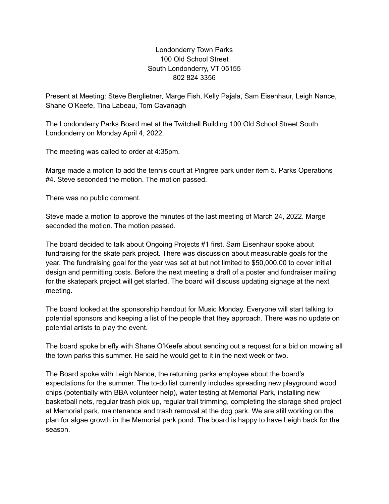## Londonderry Town Parks 100 Old School Street South Londonderry, VT 05155 802 824 3356

Present at Meeting: Steve Berglietner, Marge Fish, Kelly Pajala, Sam Eisenhaur, Leigh Nance, Shane O'Keefe, Tina Labeau, Tom Cavanagh

The Londonderry Parks Board met at the Twitchell Building 100 Old School Street South Londonderry on Monday April 4, 2022.

The meeting was called to order at 4:35pm.

Marge made a motion to add the tennis court at Pingree park under item 5. Parks Operations #4. Steve seconded the motion. The motion passed.

There was no public comment.

Steve made a motion to approve the minutes of the last meeting of March 24, 2022. Marge seconded the motion. The motion passed.

The board decided to talk about Ongoing Projects #1 first. Sam Eisenhaur spoke about fundraising for the skate park project. There was discussion about measurable goals for the year. The fundraising goal for the year was set at but not limited to \$50,000.00 to cover initial design and permitting costs. Before the next meeting a draft of a poster and fundraiser mailing for the skatepark project will get started. The board will discuss updating signage at the next meeting.

The board looked at the sponsorship handout for Music Monday. Everyone will start talking to potential sponsors and keeping a list of the people that they approach. There was no update on potential artists to play the event.

The board spoke briefly with Shane O'Keefe about sending out a request for a bid on mowing all the town parks this summer. He said he would get to it in the next week or two.

The Board spoke with Leigh Nance, the returning parks employee about the board's expectations for the summer. The to-do list currently includes spreading new playground wood chips (potentially with BBA volunteer help), water testing at Memorial Park, installing new basketball nets, regular trash pick up, regular trail trimming, completing the storage shed project at Memorial park, maintenance and trash removal at the dog park. We are still working on the plan for algae growth in the Memorial park pond. The board is happy to have Leigh back for the season.